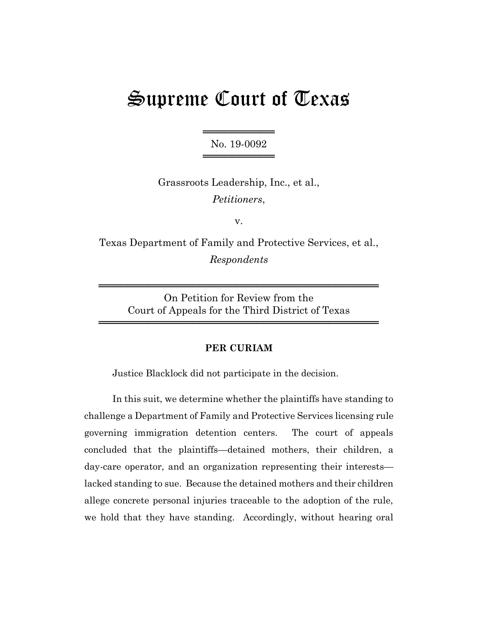# Supreme Court of Texas

═══════════════════ No. 19-0092 ═════════════════

Grassroots Leadership, Inc., et al., *Petitioners*,

v.

Texas Department of Family and Protective Services, et al., *Respondents*

> On Petition for Review from the Court of Appeals for the Third District of Texas

═══════════════════════════════════════

═══════════════════════════════════════

## **PER CURIAM**

Justice Blacklock did not participate in the decision.

In this suit, we determine whether the plaintiffs have standing to challenge a Department of Family and Protective Services licensing rule governing immigration detention centers. The court of appeals concluded that the plaintiffs—detained mothers, their children, a day-care operator, and an organization representing their interests lacked standing to sue. Because the detained mothers and their children allege concrete personal injuries traceable to the adoption of the rule, we hold that they have standing. Accordingly, without hearing oral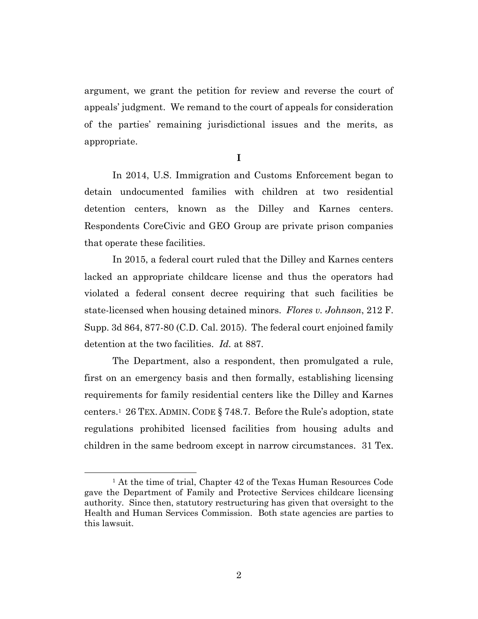argument, we grant the petition for review and reverse the court of appeals' judgment. We remand to the court of appeals for consideration of the parties' remaining jurisdictional issues and the merits, as appropriate.

**I**

In 2014, U.S. Immigration and Customs Enforcement began to detain undocumented families with children at two residential detention centers, known as the Dilley and Karnes centers. Respondents CoreCivic and GEO Group are private prison companies that operate these facilities.

In 2015, a federal court ruled that the Dilley and Karnes centers lacked an appropriate childcare license and thus the operators had violated a federal consent decree requiring that such facilities be state-licensed when housing detained minors. *Flores v. Johnson*, 212 F. Supp. 3d 864, 877-80 (C.D. Cal. 2015). The federal court enjoined family detention at the two facilities. *Id.* at 887.

The Department, also a respondent, then promulgated a rule, first on an emergency basis and then formally, establishing licensing requirements for family residential centers like the Dilley and Karnes centers.<sup>1</sup> 26 TEX. ADMIN. CODE § 748.7. Before the Rule's adoption, state regulations prohibited licensed facilities from housing adults and children in the same bedroom except in narrow circumstances. 31 Tex.

<sup>&</sup>lt;sup>1</sup> At the time of trial, Chapter 42 of the Texas Human Resources Code gave the Department of Family and Protective Services childcare licensing authority. Since then, statutory restructuring has given that oversight to the Health and Human Services Commission. Both state agencies are parties to this lawsuit.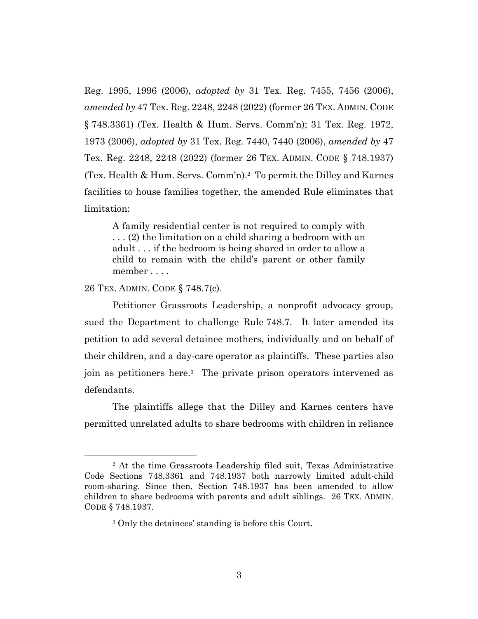Reg. 1995, 1996 (2006), *adopted by* 31 Tex. Reg. 7455, 7456 (2006), *amended by* 47 Tex. Reg. 2248, 2248 (2022) (former 26 TEX. ADMIN. CODE § 748.3361) (Tex. Health & Hum. Servs. Comm'n); 31 Tex. Reg. 1972, 1973 (2006), *adopted by* 31 Tex. Reg. 7440, 7440 (2006), *amended by* 47 Tex. Reg. 2248, 2248 (2022) (former 26 TEX. ADMIN. CODE § 748.1937) (Tex. Health & Hum. Servs. Comm'n). 2 To permit the Dilley and Karnes facilities to house families together, the amended Rule eliminates that limitation:

A family residential center is not required to comply with . . . (2) the limitation on a child sharing a bedroom with an adult . . . if the bedroom is being shared in order to allow a child to remain with the child's parent or other family member . . . .

26 TEX. ADMIN. CODE § 748.7(c).

Petitioner Grassroots Leadership, a nonprofit advocacy group, sued the Department to challenge Rule 748.7. It later amended its petition to add several detainee mothers, individually and on behalf of their children, and a day-care operator as plaintiffs. These parties also join as petitioners here.<sup>3</sup> The private prison operators intervened as defendants.

The plaintiffs allege that the Dilley and Karnes centers have permitted unrelated adults to share bedrooms with children in reliance

<sup>2</sup> At the time Grassroots Leadership filed suit, Texas Administrative Code Sections 748.3361 and 748.1937 both narrowly limited adult-child room-sharing. Since then, Section 748.1937 has been amended to allow children to share bedrooms with parents and adult siblings. 26 TEX. ADMIN. CODE § 748.1937.

<sup>3</sup> Only the detainees' standing is before this Court.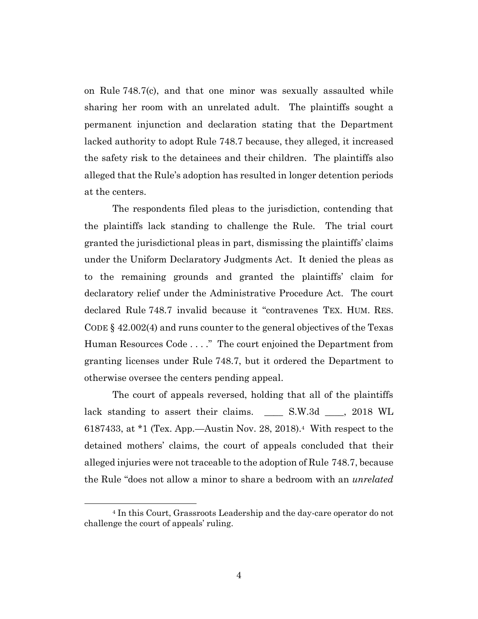on Rule 748.7(c), and that one minor was sexually assaulted while sharing her room with an unrelated adult. The plaintiffs sought a permanent injunction and declaration stating that the Department lacked authority to adopt Rule 748.7 because, they alleged, it increased the safety risk to the detainees and their children. The plaintiffs also alleged that the Rule's adoption has resulted in longer detention periods at the centers.

The respondents filed pleas to the jurisdiction, contending that the plaintiffs lack standing to challenge the Rule. The trial court granted the jurisdictional pleas in part, dismissing the plaintiffs' claims under the Uniform Declaratory Judgments Act. It denied the pleas as to the remaining grounds and granted the plaintiffs' claim for declaratory relief under the Administrative Procedure Act. The court declared Rule 748.7 invalid because it "contravenes TEX. HUM. RES. CODE § 42.002(4) and runs counter to the general objectives of the Texas Human Resources Code . . . ." The court enjoined the Department from granting licenses under Rule 748.7, but it ordered the Department to otherwise oversee the centers pending appeal.

The court of appeals reversed, holding that all of the plaintiffs lack standing to assert their claims. \_\_\_\_\_ S.W.3d \_\_\_\_, 2018 WL 6187433, at \*1 (Tex. App.—Austin Nov. 28, 2018).<sup>4</sup> With respect to the detained mothers' claims, the court of appeals concluded that their alleged injuries were not traceable to the adoption of Rule 748.7, because the Rule "does not allow a minor to share a bedroom with an *unrelated*

<sup>4</sup> In this Court, Grassroots Leadership and the day-care operator do not challenge the court of appeals' ruling.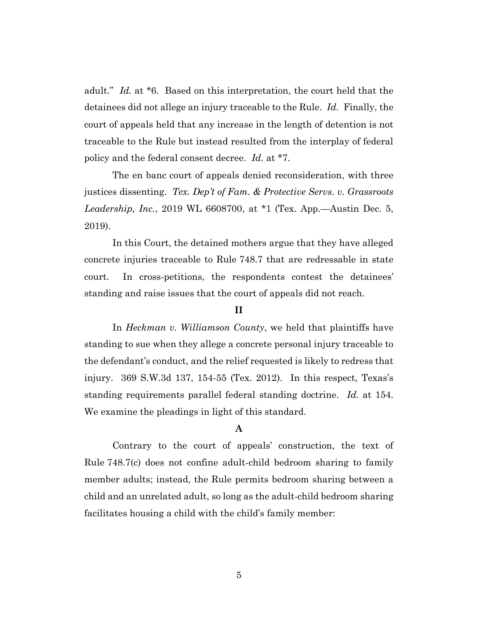adult." *Id.* at \*6. Based on this interpretation, the court held that the detainees did not allege an injury traceable to the Rule. *Id.* Finally, the court of appeals held that any increase in the length of detention is not traceable to the Rule but instead resulted from the interplay of federal policy and the federal consent decree. *Id.* at \*7.

The en banc court of appeals denied reconsideration, with three justices dissenting. *Tex. Dep't of Fam. & Protective Servs. v. Grassroots Leadership, Inc.*, 2019 WL 6608700, at \*1 (Tex. App.—Austin Dec. 5, 2019).

In this Court, the detained mothers argue that they have alleged concrete injuries traceable to Rule 748.7 that are redressable in state court. In cross-petitions, the respondents contest the detainees' standing and raise issues that the court of appeals did not reach.

### **II**

In *Heckman v. Williamson County*, we held that plaintiffs have standing to sue when they allege a concrete personal injury traceable to the defendant's conduct, and the relief requested is likely to redress that injury. 369 S.W.3d 137, 154-55 (Tex. 2012). In this respect, Texas's standing requirements parallel federal standing doctrine. *Id.* at 154. We examine the pleadings in light of this standard.

## **A**

Contrary to the court of appeals' construction, the text of Rule 748.7(c) does not confine adult-child bedroom sharing to family member adults; instead, the Rule permits bedroom sharing between a child and an unrelated adult, so long as the adult-child bedroom sharing facilitates housing a child with the child's family member: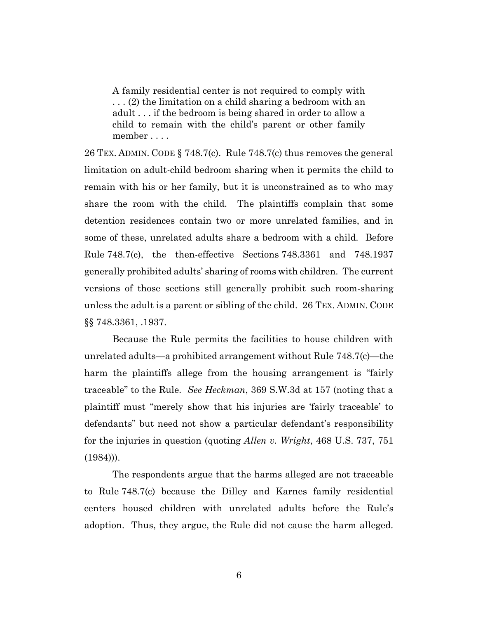A family residential center is not required to comply with . . . (2) the limitation on a child sharing a bedroom with an adult . . . if the bedroom is being shared in order to allow a child to remain with the child's parent or other family member . . . .

26 TEX. ADMIN. CODE § 748.7(c). Rule 748.7(c) thus removes the general limitation on adult-child bedroom sharing when it permits the child to remain with his or her family, but it is unconstrained as to who may share the room with the child. The plaintiffs complain that some detention residences contain two or more unrelated families, and in some of these, unrelated adults share a bedroom with a child. Before Rule 748.7(c), the then-effective Sections 748.3361 and 748.1937 generally prohibited adults' sharing of rooms with children. The current versions of those sections still generally prohibit such room-sharing unless the adult is a parent or sibling of the child. 26 TEX. ADMIN. CODE §§ 748.3361, .1937.

Because the Rule permits the facilities to house children with unrelated adults—a prohibited arrangement without Rule 748.7(c)—the harm the plaintiffs allege from the housing arrangement is "fairly traceable" to the Rule. *See Heckman*, 369 S.W.3d at 157 (noting that a plaintiff must "merely show that his injuries are 'fairly traceable' to defendants" but need not show a particular defendant's responsibility for the injuries in question (quoting *Allen v. Wright*, 468 U.S. 737, 751  $(1984))$ .

The respondents argue that the harms alleged are not traceable to Rule 748.7(c) because the Dilley and Karnes family residential centers housed children with unrelated adults before the Rule's adoption. Thus, they argue, the Rule did not cause the harm alleged.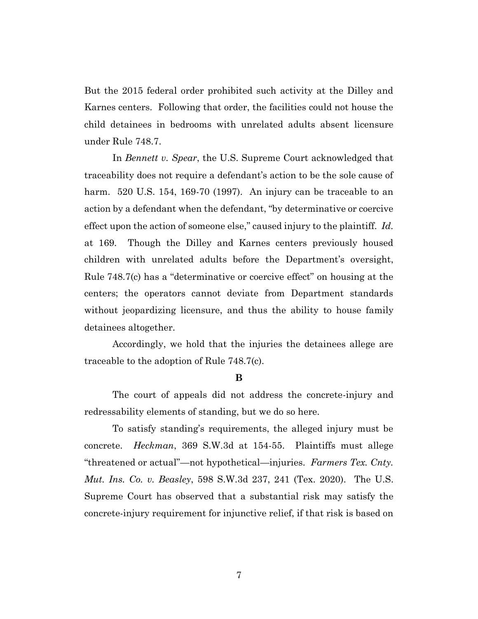But the 2015 federal order prohibited such activity at the Dilley and Karnes centers. Following that order, the facilities could not house the child detainees in bedrooms with unrelated adults absent licensure under Rule 748.7.

In *Bennett v. Spear*, the U.S. Supreme Court acknowledged that traceability does not require a defendant's action to be the sole cause of harm. 520 U.S. 154, 169-70 (1997). An injury can be traceable to an action by a defendant when the defendant, "by determinative or coercive effect upon the action of someone else," caused injury to the plaintiff. *Id.* at 169. Though the Dilley and Karnes centers previously housed children with unrelated adults before the Department's oversight, Rule 748.7(c) has a "determinative or coercive effect" on housing at the centers; the operators cannot deviate from Department standards without jeopardizing licensure, and thus the ability to house family detainees altogether.

Accordingly, we hold that the injuries the detainees allege are traceable to the adoption of Rule 748.7(c).

#### **B**

The court of appeals did not address the concrete-injury and redressability elements of standing, but we do so here.

To satisfy standing's requirements, the alleged injury must be concrete. *Heckman*, 369 S.W.3d at 154-55. Plaintiffs must allege "threatened or actual"—not hypothetical—injuries. *Farmers Tex. Cnty. Mut. Ins. Co. v. Beasley*, 598 S.W.3d 237, 241 (Tex. 2020). The U.S. Supreme Court has observed that a substantial risk may satisfy the concrete-injury requirement for injunctive relief, if that risk is based on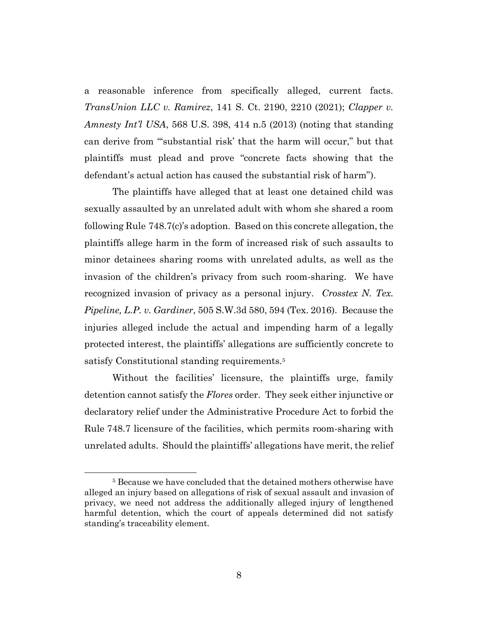a reasonable inference from specifically alleged, current facts. *TransUnion LLC v. Ramirez*, 141 S. Ct. 2190, 2210 (2021); *Clapper v. Amnesty Int'l USA*, 568 U.S. 398, 414 n.5 (2013) (noting that standing can derive from "'substantial risk' that the harm will occur," but that plaintiffs must plead and prove "concrete facts showing that the defendant's actual action has caused the substantial risk of harm").

The plaintiffs have alleged that at least one detained child was sexually assaulted by an unrelated adult with whom she shared a room following Rule 748.7(c)'s adoption. Based on this concrete allegation, the plaintiffs allege harm in the form of increased risk of such assaults to minor detainees sharing rooms with unrelated adults, as well as the invasion of the children's privacy from such room-sharing. We have recognized invasion of privacy as a personal injury. *Crosstex N. Tex. Pipeline, L.P. v. Gardiner*, 505 S.W.3d 580, 594 (Tex. 2016). Because the injuries alleged include the actual and impending harm of a legally protected interest, the plaintiffs' allegations are sufficiently concrete to satisfy Constitutional standing requirements.<sup>5</sup>

Without the facilities' licensure, the plaintiffs urge, family detention cannot satisfy the *Flores* order. They seek either injunctive or declaratory relief under the Administrative Procedure Act to forbid the Rule 748.7 licensure of the facilities, which permits room-sharing with unrelated adults. Should the plaintiffs' allegations have merit, the relief

<sup>&</sup>lt;sup>5</sup> Because we have concluded that the detained mothers otherwise have alleged an injury based on allegations of risk of sexual assault and invasion of privacy, we need not address the additionally alleged injury of lengthened harmful detention, which the court of appeals determined did not satisfy standing's traceability element.